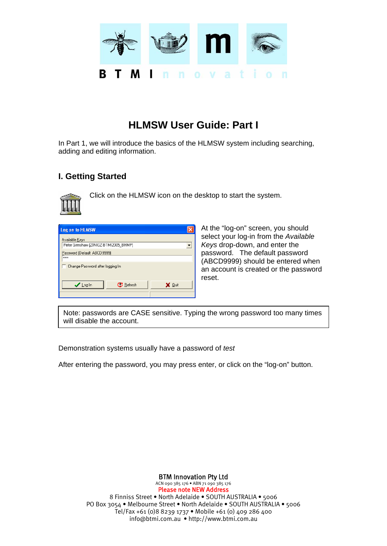

# **HLMSW User Guide: Part I**

In Part 1, we will introduce the basics of the HLMSW system including searching, adding and editing information.

# **I. Getting Started**



Click on the HLMSW icon on the desktop to start the system.

| Log on to HLMSW                                         |  |  |  |  |  |  |  |
|---------------------------------------------------------|--|--|--|--|--|--|--|
| Available Keys<br>Peter Grimshaw [ZINIOZ-BTMI2005 BHMP] |  |  |  |  |  |  |  |
| Password (Default ABCD9999)<br>xxxx                     |  |  |  |  |  |  |  |
| Change Password after logging In                        |  |  |  |  |  |  |  |
| <b>C</b> Refresh<br>LogIn<br>X Quit                     |  |  |  |  |  |  |  |

At the "log-on" screen, you should select your log-in from the *Available Keys* drop-down, and enter the password. The default password (ABCD9999) should be entered when an account is created or the password reset.

Note: passwords are CASE sensitive. Typing the wrong password too many times will disable the account.

Demonstration systems usually have a password of *test*

After entering the password, you may press enter, or click on the "log-on" button.

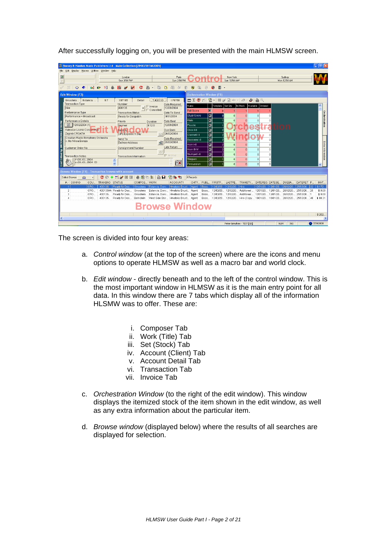| $\mathbf{D}$<br>New York<br>Sydney<br>London<br>Paris<br>Sun 2:54 PM<br>Sun 3:54 PM*<br>Sun 10:54 AM*<br>$\vert \overline{\mathbf{H}} \vert$<br>Mon 12:54 AM<br>命<br>血<br>昌<br>₩<br>8<br>$\Box$ -<br>$p_1$ $p_2$ $\frac{2}{3}$<br>க<br>n<br>И<br>踘<br>潔<br>ø<br>X<br>c<br>$\otimes$ $\bullet$<br>D<br>$\mathscr{L}$<br>le<br>$\overline{\phantom{a}}$<br><b>Edit Window (F7)</b><br><b>Orchestration Window (F8)</b><br>Estancia<br>S <sub>7</sub><br>T:400135<br>1:78758<br>Ginastera<br>X07185<br>Detail<br><b>Transaction Type</b><br>Number<br>Date Required<br>$\blacktriangle$<br>Available<br>Ordered<br>Name<br>「emplate Set Qty<br>In Stock<br>$\overline{\phantom{a}}$   $\overline{\phantom{a}}$   Invoice<br>12/01/2004<br>400135<br>Hire<br>$\Gamma$ Cancelled<br>E<br><b>Full Score</b><br>$\mathbf{n}$<br>Performance Type<br><b>Transaction Status</b><br>Date To Send<br>国<br>Study Score<br>$\mathbf{r}$<br> 0 <br>n<br>$\mathbf{r}$<br>Performance + Broadcast<br>9/01/2004<br>Ready for Despatch<br>ø<br>l Flute<br>$\Omega$<br>$\mathbf{0}$<br>n.<br>$\theta$<br>Performance Details<br>Date Sent<br>Priority<br>Duration<br>  12/02/2004 (1)<br>П<br>12/01/2004<br>0:12:0<br>Piccolo<br>Normal<br>$\overline{0}$<br>m<br>O.<br>40<br>圓<br>Vatroslav Lisinki Concert Hall<br>Due Back<br>Send By<br>Oboe I-II<br>$\mathbf{0}$<br>Zagreb CROATIA<br>$-26/02/2004$<br>UPS Express 1 Day<br> ⊠<br>Clarinet I-II<br>$\mathbf{0}$<br>Croatian Radio Symphony Orchestra<br>Date Received<br>$\overline{\mathbf{z}}$<br>Send To<br>'n<br>Bassoon I-II<br>n<br>c. Mo Niksa Bareza<br>图 25/03/2004<br>Delivery Address<br>$\blacksquare$<br>Horn I-II<br>$\Omega$<br>n<br>n<br>n<br>Late Return<br>Customer Order No<br>Consignment Number<br>圖<br>Horn III-IV<br>n<br>$\mathbf{0}$<br>n۱<br>$\bf{0}$<br>❀<br>$\overline{\blacksquare}$<br>$\mathbf{0}$<br>Trumpet I-II<br>$\Omega$<br> 0 <br>$\overline{0}$<br>Archive<br><b>Transaction Notes</b><br><b>Transaction Information</b><br>$\overline{\mathbf{z}}$<br> 0 <br>$\mathbf{0}$<br>$\mathbf{0}$<br>n١<br>Timpani<br>r:08.01.2004<br>$\blacktriangle$<br>$P$ x<br>$0:09.01.2004$ CD<br> ⊠<br>$\ddotmark$<br>Percussion<br> 0 <br>n۱<br>$\mathbf{0}$<br>$\Omega$<br>$\overline{\mathsf{v}}$<br>Browse Window (F9) - Transaction browse with account<br>公路站<br>Select Browse<br>4 Records<br>69<br>PUBL FIRSTP<br>$#$ / CONNO<br>COU TRANSNO STATUS<br>COMPOS WORK<br>ACCOUNT1<br>CHTY<br>LASTPE TRANSTY DATEREQ DATESE DUEBA<br>DATERET P<br>CRO.<br>400135<br>Ready for Des.,<br>Ginastera<br>Estancia, Danc Hrvatsko Drust<br>Boos.<br>12/02/20<br>12/02/20<br>Hire<br>12/01/20.<br>26/02/20<br>25/03/20<br>\$172.<br>$\mathbf{1}$<br>Agent<br>12/01/20<br>32<br>$\mathfrak{D}$<br>CRO<br>400135AA Ready for Des Ginastera<br>Estancia, Danc Hrvatsko Drust Agent<br>Boos 12/02/20 12/02/20 Additional  12/01/20 12/01/20 26/02/20.<br>25/03/20 25<br>3<br>Boos 12/02/20 12/02/20 Additional  12/01/20 12/01/20 26/02/20.<br>25/03/201<br>CRO<br>400135<br>Ready for Des Ginastera<br>Estancia, Danc Hrvatsko Drust<br>\$0.00<br>Agent<br>CRO<br>$\Delta$<br>400135 Ready for Des<br>Bernstein<br>West Side Stor Hrvatsko Drust Agent<br>Boos 12/02/20 12/02/20 Hire (Copy 19/01/20 16/01/20 26/02/20<br>25/03/20 48<br>\$90.31<br><b>Browse Window</b> | Boosey & Hawkes Music Publishers Ltd - Main Collection [ZINIOZ\BTMI2005]<br>File Edit Display Macros Utilities Window Help |  |  |  |  |  |  | $\Box$ $\Box$ $\times$             |
|-----------------------------------------------------------------------------------------------------------------------------------------------------------------------------------------------------------------------------------------------------------------------------------------------------------------------------------------------------------------------------------------------------------------------------------------------------------------------------------------------------------------------------------------------------------------------------------------------------------------------------------------------------------------------------------------------------------------------------------------------------------------------------------------------------------------------------------------------------------------------------------------------------------------------------------------------------------------------------------------------------------------------------------------------------------------------------------------------------------------------------------------------------------------------------------------------------------------------------------------------------------------------------------------------------------------------------------------------------------------------------------------------------------------------------------------------------------------------------------------------------------------------------------------------------------------------------------------------------------------------------------------------------------------------------------------------------------------------------------------------------------------------------------------------------------------------------------------------------------------------------------------------------------------------------------------------------------------------------------------------------------------------------------------------------------------------------------------------------------------------------------------------------------------------------------------------------------------------------------------------------------------------------------------------------------------------------------------------------------------------------------------------------------------------------------------------------------------------------------------------------------------------------------------------------------------------------------------------------------------------------------------------------------------------------------------------------------------------------------------------------------------------------------------------------------------------------------------------------------------------------------------------------------------------------------------------------------------------------------------------------------------------------------------------------------------------------------------------------------------------------------------------------------------------------------------------------------------------------------------------------------------------------------------------------------------------------|----------------------------------------------------------------------------------------------------------------------------|--|--|--|--|--|--|------------------------------------|
|                                                                                                                                                                                                                                                                                                                                                                                                                                                                                                                                                                                                                                                                                                                                                                                                                                                                                                                                                                                                                                                                                                                                                                                                                                                                                                                                                                                                                                                                                                                                                                                                                                                                                                                                                                                                                                                                                                                                                                                                                                                                                                                                                                                                                                                                                                                                                                                                                                                                                                                                                                                                                                                                                                                                                                                                                                                                                                                                                                                                                                                                                                                                                                                                                                                                                                                             |                                                                                                                            |  |  |  |  |  |  |                                    |
|                                                                                                                                                                                                                                                                                                                                                                                                                                                                                                                                                                                                                                                                                                                                                                                                                                                                                                                                                                                                                                                                                                                                                                                                                                                                                                                                                                                                                                                                                                                                                                                                                                                                                                                                                                                                                                                                                                                                                                                                                                                                                                                                                                                                                                                                                                                                                                                                                                                                                                                                                                                                                                                                                                                                                                                                                                                                                                                                                                                                                                                                                                                                                                                                                                                                                                                             |                                                                                                                            |  |  |  |  |  |  |                                    |
|                                                                                                                                                                                                                                                                                                                                                                                                                                                                                                                                                                                                                                                                                                                                                                                                                                                                                                                                                                                                                                                                                                                                                                                                                                                                                                                                                                                                                                                                                                                                                                                                                                                                                                                                                                                                                                                                                                                                                                                                                                                                                                                                                                                                                                                                                                                                                                                                                                                                                                                                                                                                                                                                                                                                                                                                                                                                                                                                                                                                                                                                                                                                                                                                                                                                                                                             |                                                                                                                            |  |  |  |  |  |  |                                    |
|                                                                                                                                                                                                                                                                                                                                                                                                                                                                                                                                                                                                                                                                                                                                                                                                                                                                                                                                                                                                                                                                                                                                                                                                                                                                                                                                                                                                                                                                                                                                                                                                                                                                                                                                                                                                                                                                                                                                                                                                                                                                                                                                                                                                                                                                                                                                                                                                                                                                                                                                                                                                                                                                                                                                                                                                                                                                                                                                                                                                                                                                                                                                                                                                                                                                                                                             | 2:08 PM<br>Last Edited by JW 30/09/2004                                                                                    |  |  |  |  |  |  | Orchestration<br>Extra Information |
|                                                                                                                                                                                                                                                                                                                                                                                                                                                                                                                                                                                                                                                                                                                                                                                                                                                                                                                                                                                                                                                                                                                                                                                                                                                                                                                                                                                                                                                                                                                                                                                                                                                                                                                                                                                                                                                                                                                                                                                                                                                                                                                                                                                                                                                                                                                                                                                                                                                                                                                                                                                                                                                                                                                                                                                                                                                                                                                                                                                                                                                                                                                                                                                                                                                                                                                             |                                                                                                                            |  |  |  |  |  |  |                                    |
|                                                                                                                                                                                                                                                                                                                                                                                                                                                                                                                                                                                                                                                                                                                                                                                                                                                                                                                                                                                                                                                                                                                                                                                                                                                                                                                                                                                                                                                                                                                                                                                                                                                                                                                                                                                                                                                                                                                                                                                                                                                                                                                                                                                                                                                                                                                                                                                                                                                                                                                                                                                                                                                                                                                                                                                                                                                                                                                                                                                                                                                                                                                                                                                                                                                                                                                             |                                                                                                                            |  |  |  |  |  |  | INVT                               |
|                                                                                                                                                                                                                                                                                                                                                                                                                                                                                                                                                                                                                                                                                                                                                                                                                                                                                                                                                                                                                                                                                                                                                                                                                                                                                                                                                                                                                                                                                                                                                                                                                                                                                                                                                                                                                                                                                                                                                                                                                                                                                                                                                                                                                                                                                                                                                                                                                                                                                                                                                                                                                                                                                                                                                                                                                                                                                                                                                                                                                                                                                                                                                                                                                                                                                                                             |                                                                                                                            |  |  |  |  |  |  |                                    |
|                                                                                                                                                                                                                                                                                                                                                                                                                                                                                                                                                                                                                                                                                                                                                                                                                                                                                                                                                                                                                                                                                                                                                                                                                                                                                                                                                                                                                                                                                                                                                                                                                                                                                                                                                                                                                                                                                                                                                                                                                                                                                                                                                                                                                                                                                                                                                                                                                                                                                                                                                                                                                                                                                                                                                                                                                                                                                                                                                                                                                                                                                                                                                                                                                                                                                                                             |                                                                                                                            |  |  |  |  |  |  | \$0.00                             |
|                                                                                                                                                                                                                                                                                                                                                                                                                                                                                                                                                                                                                                                                                                                                                                                                                                                                                                                                                                                                                                                                                                                                                                                                                                                                                                                                                                                                                                                                                                                                                                                                                                                                                                                                                                                                                                                                                                                                                                                                                                                                                                                                                                                                                                                                                                                                                                                                                                                                                                                                                                                                                                                                                                                                                                                                                                                                                                                                                                                                                                                                                                                                                                                                                                                                                                                             |                                                                                                                            |  |  |  |  |  |  |                                    |
|                                                                                                                                                                                                                                                                                                                                                                                                                                                                                                                                                                                                                                                                                                                                                                                                                                                                                                                                                                                                                                                                                                                                                                                                                                                                                                                                                                                                                                                                                                                                                                                                                                                                                                                                                                                                                                                                                                                                                                                                                                                                                                                                                                                                                                                                                                                                                                                                                                                                                                                                                                                                                                                                                                                                                                                                                                                                                                                                                                                                                                                                                                                                                                                                                                                                                                                             |                                                                                                                            |  |  |  |  |  |  | \$262.                             |
|                                                                                                                                                                                                                                                                                                                                                                                                                                                                                                                                                                                                                                                                                                                                                                                                                                                                                                                                                                                                                                                                                                                                                                                                                                                                                                                                                                                                                                                                                                                                                                                                                                                                                                                                                                                                                                                                                                                                                                                                                                                                                                                                                                                                                                                                                                                                                                                                                                                                                                                                                                                                                                                                                                                                                                                                                                                                                                                                                                                                                                                                                                                                                                                                                                                                                                                             | $\leq$                                                                                                                     |  |  |  |  |  |  |                                    |

After successfully logging on, you will be presented with the main HLMSW screen.

The screen is divided into four key areas:

- a. *Control window* (at the top of the screen) where are the icons and menu options to operate HLMSW as well as a macro bar and world clock.
- b. *Edit window*  directly beneath and to the left of the control window. This is the most important window in HLMSW as it is the main entry point for all data. In this window there are 7 tabs which display all of the information HLSMW was to offer. These are:
	- i. Composer Tab
	- ii. Work (Title) Tab
	- iii. Set (Stock) Tab
	- iv. Account (Client) Tab
	- v. Account Detail Tab
	- vi. Transaction Tab
	- vii. Invoice Tab
- c. *Orchestration Window* (to the right of the edit window). This window displays the itemized stock of the item shown in the edit window, as well as any extra information about the particular item.
- d. *Browse window* (displayed below) where the results of all searches are displayed for selection.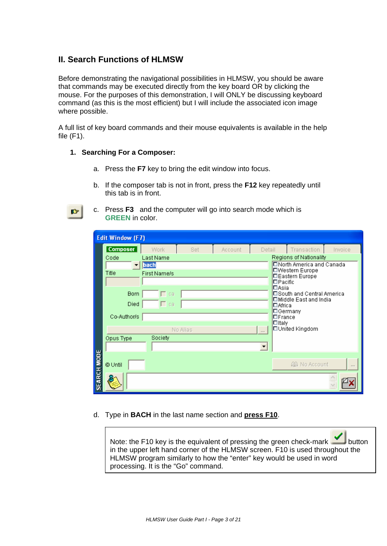# **II. Search Functions of HLMSW**

Before demonstrating the navigational possibilities in HLMSW, you should be aware that commands may be executed directly from the key board OR by clicking the mouse. For the purposes of this demonstration, I will ONLY be discussing keyboard command (as this is the most efficient) but I will include the associated icon image where possible.

A full list of key board commands and their mouse equivalents is available in the help file (F1).

#### **1. Searching For a Composer:**

IG |

- a. Press the **F7** key to bring the edit window into focus.
- b. If the composer tab is not in front, press the **F12** key repeatedly until this tab is in front.
- c. Press **F3** and the computer will go into search mode which is **GREEN** in color.

|                    | <b>Edit Window (F7)</b> |              |          |         |                        |                                                     |         |  |  |
|--------------------|-------------------------|--------------|----------|---------|------------------------|-----------------------------------------------------|---------|--|--|
|                    | <b>Composer</b>         | <b>Work</b>  | Set      | Account | Detail                 | Transaction                                         | Invoice |  |  |
|                    | Code                    | Last Name    |          |         | Regions of Nationality |                                                     |         |  |  |
|                    |                         | bach         |          |         |                        | □North America and Canada<br><b>□Western Europe</b> |         |  |  |
|                    | Title                   | First Name/s |          |         |                        | □Eastern Europe                                     |         |  |  |
|                    |                         |              |          |         |                        | $\Box$ Pacific<br>$\Box$ Asia                       |         |  |  |
|                    | <b>Born</b>             | $\sqcap$ ca  |          |         |                        | l□South and Central America                         |         |  |  |
|                    | Died                    | Γca          |          |         |                        | □ Middle East and India<br><b>□</b> Africa          |         |  |  |
|                    | Co-Author/s             |              |          |         |                        | ⊡Germany<br>$\square$ France                        |         |  |  |
|                    |                         |              | No Alias |         | $\sim$                 | $\Box$ Italy<br>□United Kingdom                     |         |  |  |
|                    | Opus Type               | Society      |          |         |                        |                                                     |         |  |  |
|                    |                         |              |          |         |                        |                                                     |         |  |  |
|                    |                         |              |          |         |                        |                                                     |         |  |  |
|                    | @ Until                 |              |          |         |                        | 49 No Account                                       | $\sim$  |  |  |
| <b>SEARCH MODE</b> |                         |              |          |         |                        |                                                     |         |  |  |

# d. Type in **BACH** in the last name section and **press F10**.

Note: the F10 key is the equivalent of pressing the green check-mark button in the upper left hand corner of the HLMSW screen. F10 is used throughout the HLMSW program similarly to how the "enter" key would be used in word processing. It is the "Go" command.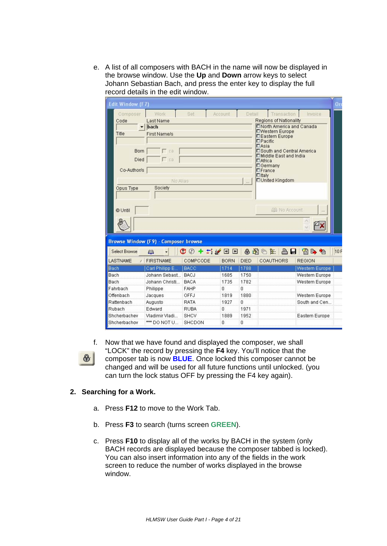e. A list of all composers with BACH in the name will now be displayed in the browse window. Use the **Up** and **Down** arrow keys to select Johann Sebastian Bach, and press the enter key to display the full record details in the edit window.

| <b>Edit Window (F7)</b> |                                             |                                                         |                |          |                                  |                                                            | $\alpha_{\rm F}$ |
|-------------------------|---------------------------------------------|---------------------------------------------------------|----------------|----------|----------------------------------|------------------------------------------------------------|------------------|
| Composer                | Work                                        | Set                                                     | Account        | Detail   |                                  | Transaction                                                | Invoice          |
| Code                    | Last Name                                   |                                                         |                |          |                                  | <b>Regions of Nationality</b>                              |                  |
|                         | bach                                        |                                                         |                |          |                                  | <b>ENorth America and Canada</b><br><b>DWestern Europe</b> |                  |
| Title                   | First Name/s                                |                                                         |                |          |                                  | <b>DEastern Europe</b>                                     |                  |
|                         |                                             |                                                         |                |          | $\square$ Pacific<br>$\Box$ Asia |                                                            |                  |
| <b>Born</b>             | $\Gamma$ ca                                 |                                                         |                |          |                                  | □South and Central America                                 |                  |
| Died                    | $\Gamma$ ca                                 |                                                         |                |          | <b>DAfrica</b>                   | <b>DMiddle East and India</b>                              |                  |
|                         |                                             |                                                         |                |          |                                  | <b>DGermany</b>                                            |                  |
| Co-Author/s             |                                             |                                                         |                |          | $\square$ France                 |                                                            |                  |
|                         | No Alias                                    |                                                         |                | $\sim$   | $n$ Italy                        | <b>LUnited Kingdom</b>                                     |                  |
| Opus Type               | Society                                     |                                                         |                |          |                                  |                                                            |                  |
|                         |                                             |                                                         |                |          |                                  |                                                            |                  |
|                         |                                             |                                                         |                |          |                                  |                                                            |                  |
| © Until                 |                                             |                                                         |                |          |                                  | 晶 No Account                                               |                  |
|                         |                                             |                                                         |                |          |                                  |                                                            |                  |
|                         |                                             |                                                         |                |          |                                  |                                                            |                  |
|                         |                                             |                                                         |                |          |                                  |                                                            |                  |
|                         | <b>Browse Window (F9) - Composer browse</b> |                                                         |                |          |                                  |                                                            |                  |
|                         |                                             |                                                         |                |          |                                  |                                                            |                  |
| <b>Select Browse</b>    | 6B)                                         | $\mathbb{C} \oslash$ + $\pm$ $\not\equiv$ $\Box$ $\Box$ |                |          | 丹南舟                              | 阁<br>合日                                                    | 窗上临<br>10F       |
| LASTNAME                | <b>FIRSTNAME</b>                            | COMPCODE                                                | <b>BORN</b>    | DIED     |                                  | <b>COAUTHORS</b>                                           | <b>REGION</b>    |
| Bach                    | Carl Philipp E                              | <b>BACC</b>                                             | 1714           | 1788     |                                  |                                                            | Western Europe   |
| <b>Bach</b>             | Johann Sebast                               | <b>BACJ</b>                                             | 1685           | 1750     |                                  |                                                            | Western Europe   |
| <b>Bach</b>             | Johann Christi                              | <b>BACA</b>                                             | 1735           | 1782     |                                  |                                                            | Western Europe   |
| Fahrbach                | Philippe                                    | <b>FAHP</b>                                             | 0              | 0        |                                  |                                                            |                  |
| Offenbach               | <b>Jacques</b>                              | OFFJ                                                    | 1819           | 1880     |                                  |                                                            | Western Europe   |
| Rattenbach              | Augusto                                     | <b>RATA</b>                                             | 1927           | 0        |                                  |                                                            | South and Cen    |
| Rubach                  | Edward                                      | <b>RUBA</b>                                             | $\overline{0}$ | 1971     |                                  |                                                            |                  |
| Shcherbachev            | Vladimir Vladi                              | SHCV                                                    | 1889           | 1952     |                                  |                                                            | Eastern Europe   |
| Shcherbachov            | $***$ DO NOT U.                             | SHCDON                                                  | O.             | $\Omega$ |                                  |                                                            |                  |



f. Now that we have found and displayed the composer, we shall "LOCK" the record by pressing the **F4** key. You'll notice that the composer tab is now **BLUE**. Once locked this composer cannot be changed and will be used for all future functions until unlocked. (you can turn the lock status OFF by pressing the F4 key again).

# **2. Searching for a Work.**

- a. Press **F12** to move to the Work Tab.
- b. Press **F3** to search (turns screen **GREEN**).
- c. Press **F10** to display all of the works by BACH in the system (only BACH records are displayed because the composer tabbed is locked). You can also insert information into any of the fields in the work screen to reduce the number of works displayed in the browse window.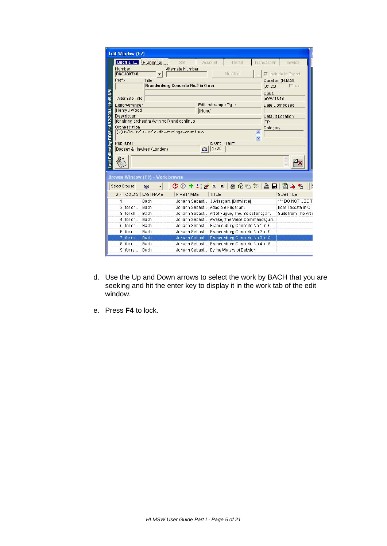| <b>Edit Window (F7)</b>                                   |                                                                  |                                                               |
|-----------------------------------------------------------|------------------------------------------------------------------|---------------------------------------------------------------|
| Bach J. [ Brandenbu]                                      | Account<br>Detail<br>Set                                         | Transaction<br>Invoice                                        |
| Number                                                    | Alternate Number                                                 |                                                               |
| <b>BACJ09748</b>                                          | No Alias                                                         | $\nabla$ Include in Export                                    |
| Prefix<br>Title                                           |                                                                  | Duration (H:M:S)                                              |
|                                                           | Brandenburg Concerto No.3 in G ma                                | Γca<br>0:12:0                                                 |
| Last Edited by BDM 14/12/2004 11:49 AM                    |                                                                  | Opus                                                          |
| Alternate Title                                           |                                                                  | <b>BWV 1048</b>                                               |
| Editor/Arranger                                           | Editor/Arranger Type                                             | Date Composed                                                 |
| Henry J Wood                                              | [None]                                                           |                                                               |
| Description                                               |                                                                  | Default Location                                              |
| for string orchestra (with soli) and continuo             |                                                                  | FR.                                                           |
| Orchestration<br>(?) 3vln. 3vla. 3vlc.db-strings-continuo |                                                                  | Category                                                      |
|                                                           |                                                                  |                                                               |
| Publisher                                                 | <b>O Until Tariff</b>                                            |                                                               |
| Boosey & Hawkes (London)                                  | 1820<br>£B.                                                      |                                                               |
|                                                           |                                                                  |                                                               |
|                                                           |                                                                  |                                                               |
|                                                           |                                                                  |                                                               |
| <b>Browse Window (F9) - Work browse</b>                   |                                                                  |                                                               |
| £B.                                                       | おめはも<br>$\mathbb{C} \oslash$ + $\pm$ $\mathscr{C}$ $\Box$ $\Box$ | <b>AH</b><br>4 日 村                                            |
| LASTNAME<br>COL12<br>#                                    | <b>FIRSTNAME</b><br>TITLE                                        | <b>SUBTITLE</b>                                               |
| 1<br>Bach                                                 | Johann Sebast 3 Arias; arr. [Birtwistle]                         |                                                               |
| 2 for or<br>Bach                                          | Johann Sebast Adagio e Fuga; arr.                                |                                                               |
| $3$ for $ch$<br><b>Bach</b>                               | Johann Sebast Art of Fugue, The. Selections; arr.                |                                                               |
| 4 for or<br><b>Bach</b>                                   | Johann Sebast Awake, The Voice Commands; arr.                    |                                                               |
| 5 for or<br><b>Bach</b>                                   | Johann Sebast Brandenburg Concerto No.1 in F                     |                                                               |
| 6 for or<br>Bach                                          | Johann Sebast Brandenburg Concerto No.2 in F                     |                                                               |
| <b>Select Browse</b><br>$7$ for str<br>Bach               | Johann Sebast Brandenburg Concerto No.3 in G                     |                                                               |
| 8 for or<br>Bach                                          | Johann Sebast Brandenburg Concerto No.4 in G                     | *** DO NOT USE T<br>from Toccata in C<br>Suite from The Art o |

- d. Use the Up and Down arrows to select the work by BACH that you are seeking and hit the enter key to display it in the work tab of the edit window.
- e. Press **F4** to lock.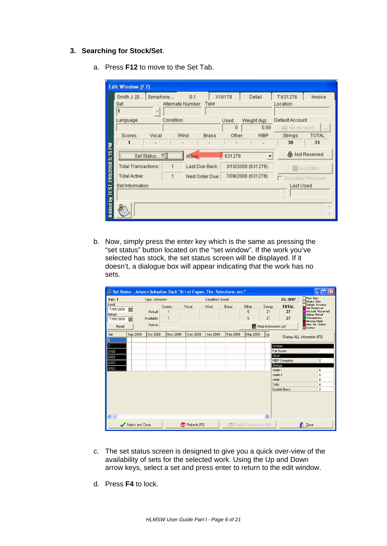#### **3. Searching for Stock/Set**.

a. Press **F12** to move to the Set Tab.

| Smith J. [S]               | Symphony   | S:1              |                 | X16178             | Detail.     | T:631276           | Invoice               |
|----------------------------|------------|------------------|-----------------|--------------------|-------------|--------------------|-----------------------|
| Set<br>1                   |            | Alternate Number | Type            |                    |             | Location           |                       |
| Language                   | Condition  |                  |                 | Used               | Weight (kg) | Default Account    |                       |
|                            |            |                  |                 | 0                  | 0.00        | 49 No Account      | and .                 |
| <b>Scores</b>              | Vocal      | Wind             | <b>Brass</b>    | Other              | <b>WBP</b>  | <b>Strings</b>     | <b>TOTAL</b>          |
|                            | ٠          |                  |                 |                    |             | 30                 | 31                    |
|                            | Set Status | Active:          |                 | 631276             |             |                    | <b>最 Not Reserved</b> |
| <b>Total Transactions:</b> | 1          |                  | Last Due Back:  | 3/10/2008 (631276) |             |                    | No ISMN               |
| Total Active:              | 1          |                  | Next Order Due: | 7/09/2008 (631276) |             | Stocktake Required |                       |
| Set Information            |            |                  |                 |                    |             | Last Used          |                       |
|                            |            |                  |                 |                    |             | Ø.                 |                       |
|                            |            |                  |                 |                    |             | $\sim$             |                       |

b. Now, simply press the enter key which is the same as pressing the "set status" button located on the "set window". If the work you've selected has stock, the set status screen will be displayed. If it doesn't, a dialogue box will appear indicating that the work has no sets.

|                                                   |                  |                               |                             |                 |                 | IIII Set Status - Johann Sebastian Bach "Art of Fugue, The. Selections; arr." |                                     |                     |                                                  |                                                                                                                                      |
|---------------------------------------------------|------------------|-------------------------------|-----------------------------|-----------------|-----------------|-------------------------------------------------------------------------------|-------------------------------------|---------------------|--------------------------------------------------|--------------------------------------------------------------------------------------------------------------------------------------|
| Set: 1                                            |                  | Type: Unknown                 |                             |                 | Condition: Good |                                                                               |                                     |                     | XS 2897                                          | □ Free Sets<br><b>Empty Sets</b>                                                                                                     |
| Send<br>7/09/2008<br>Return<br>7/09/2008<br>Reset | 國<br>翻           | Actual<br>Available<br>Active | Scores<br>$\mathbf{1}$<br>٠ | Vocal           | Wind            | Brass                                                                         | Other<br>5<br>5                     | Strings<br>21<br>21 | <b>TOTAL</b><br>27<br>27<br>Hide Instrument List | Return Overdue<br><b>Set Reserved</b><br><b>Account Reserved</b><br>Status Period<br>Transactions<br>Missing Parts<br>New Set Orders |
| Set                                               | Sep 2008         | Oct 2008                      | Nov 2008                    | Dec 2008        | Jan 2009        | Feb 2009                                                                      | Mar 2009                            | Ap                  |                                                  | Quotes<br>Display ALL Information (F8)                                                                                               |
| l2<br>A100<br>A101                                |                  |                               |                             |                 |                 |                                                                               |                                     |                     | Scores<br>Full Score<br>Other                    | $\mathbf{1}$                                                                                                                         |
| A102<br>A103                                      |                  |                               |                             |                 |                 |                                                                               |                                     |                     | <b>WBP Complete</b><br>Strings<br>Violin I       | 5<br>6                                                                                                                               |
|                                                   |                  |                               |                             |                 |                 |                                                                               |                                     |                     | Violin II<br>Viola<br>Cello                      | 5<br>4<br>4                                                                                                                          |
|                                                   |                  |                               |                             |                 |                 |                                                                               |                                     |                     | Double Bass                                      | $\overline{a}$                                                                                                                       |
| $\leftarrow$                                      | Select and Close |                               |                             | (P Refresh (F5) |                 |                                                                               | <b>EM</b> Display Transactions (F6) | $\,$                |                                                  | $\blacksquare$ Close                                                                                                                 |

- c. The set status screen is designed to give you a quick over-view of the availability of sets for the selected work. Using the Up and Down arrow keys, select a set and press enter to return to the edit window.
- d. Press **F4** to lock.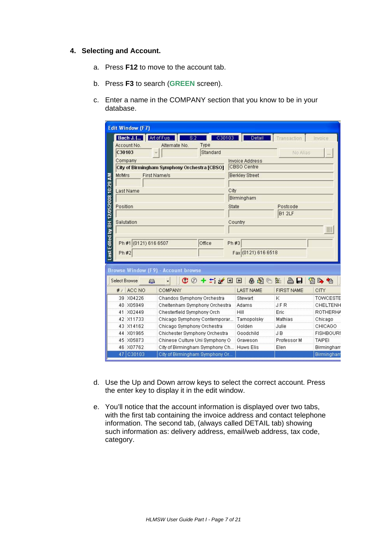#### **4. Selecting and Account.**

- a. Press **F12** to move to the account tab.
- b. Press **F3** to search (**GREEN** screen).
- c. Enter a name in the COMPANY section that you know to be in your database.

|                     | <b>Edit Window (F7)</b>    |                                              |        |                        |                   |                   |
|---------------------|----------------------------|----------------------------------------------|--------|------------------------|-------------------|-------------------|
|                     | <b>Bach J. []</b>          | Art of Fug<br>S:2                            | C30103 | Detail                 | Transaction       | Invoice           |
|                     | Account No.                | Type<br>Alternate No.                        |        |                        |                   |                   |
|                     | C30103                     | Standard                                     |        |                        | No Alias          |                   |
|                     | Company                    |                                              |        | <b>Invoice Address</b> |                   |                   |
|                     |                            | City of Birmingham Symphony Orchestra [CBSO] |        | CBSO Centre            |                   |                   |
|                     | <b>Mr/Mrs</b>              | <b>First Name/s</b>                          |        | <b>Berkley Street</b>  |                   |                   |
| 12/05/2008 10:29 AM | Last Name                  |                                              | City   |                        |                   |                   |
|                     |                            |                                              |        | <b>Birmingham</b>      |                   |                   |
|                     | Position                   |                                              | State  |                        | Postcode          |                   |
|                     |                            |                                              |        |                        | B1 2LF            |                   |
|                     | Salutation                 |                                              |        | Country                |                   |                   |
|                     |                            |                                              |        |                        |                   |                   |
|                     |                            |                                              |        |                        |                   |                   |
| Last Edited by BH   | Ph #1 (0121) 616 6507      | Office                                       | Ph #3  |                        |                   |                   |
|                     | Ph#2                       |                                              |        | Fax (0121) 616 6518    |                   |                   |
|                     |                            |                                              |        |                        |                   |                   |
|                     |                            |                                              |        |                        |                   |                   |
|                     |                            | <b>Browse Window (F9) - Account browse</b>   |        |                        |                   |                   |
|                     | <b>Select Browse</b><br>£3 | $C$ $O$ + $\simeq$ $C$ $D$ $D$<br>٠          |        | 当分图台                   | 合日                | 窗上临               |
|                     | ACC NO<br># /              | COMPANY                                      |        | <b>LAST NAME</b>       | <b>FIRST NAME</b> | CITY              |
|                     | 39 X04226                  | Chandos Symphony Orchestra                   |        | Stewart                | K                 | <b>TOWCESTE</b>   |
|                     | 40 X05949                  | Cheltenham Symphony Orchestra                |        | Adams                  | <b>JFR</b>        | CHELTENH          |
|                     | X02449<br>41               | Chesterfield Symphony Orch                   |        | Hill                   | Eric              | <b>ROTHERHA</b>   |
|                     | 42 X11733                  | Chicago Symphony Contemporar                 |        | Tarnopolsky            | Mathias           | Chicago           |
|                     | 43 X14162                  | Chicago Symphony Orchestra                   |        | Golden                 | Julie             | CHICAGO           |
|                     | 44 X01965                  | Chichester Symphony Orchestra                |        | Goodchild              | JB                | <b>FISHBOURI</b>  |
|                     | 45 X05873                  | Chinese Culture Uni Symphony O               |        | Graveson               | Professor M       | <b>TAIPEI</b>     |
|                     | 46 X07762                  | City of Birmingham Symphony Ch               |        | Huws Elis              | Elen              | <b>Birmingham</b> |
|                     | 47 C30103                  | City of Birmingham Symphony Or               |        |                        |                   | <b>Birmingham</b> |

- d. Use the Up and Down arrow keys to select the correct account. Press the enter key to display it in the edit window.
- e. You'll notice that the account information is displayed over two tabs, with the first tab containing the invoice address and contact telephone information. The second tab, (always called DETAIL tab) showing such information as: delivery address, email/web address, tax code, category.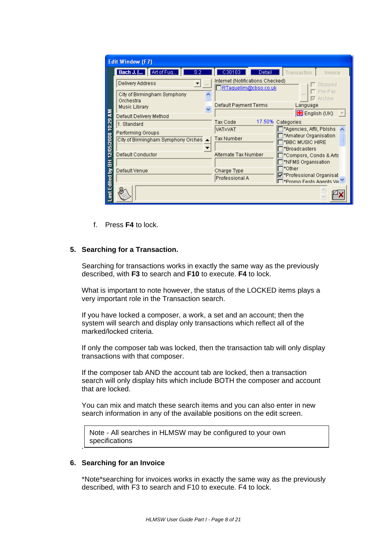|                  | <b>Edit Window (F7)</b>                  |                                                          |                                                               |
|------------------|------------------------------------------|----------------------------------------------------------|---------------------------------------------------------------|
|                  | Bach J. [] Art of Fug<br>S:2             | C30103<br>Detail                                         | Transaction<br>Invoice                                        |
|                  | Delivery Address<br>111                  | Internet (Notifications Checked)<br>RTaquelim@cbso.co.uk | Stopped                                                       |
|                  | City of Birmingham Symphony<br>Orchestra | Default Payment Terms                                    | Pre-Pay<br>Archive<br>⊽<br>Language                           |
| 롲                | Music Library<br>Default Delivery Method |                                                          | <b>SIN</b> English (UK)                                       |
| 10:29            | 1. Standard                              | Tax Code                                                 | 17.50% Categories                                             |
|                  | Performing Groups                        | VAT=VAT                                                  | *Agencies, Affil, Pblshs<br>*Amateur Organisation             |
| 12/05/2008       | City of Birmingham Symphony Orches       | Tax Number                                               | *BBC MUSIC HIRE<br>*Broadcasters                              |
| 풉                | Default Conductor                        | Alternate Tax Number                                     | *Compsrs, Conds & Arts<br>*NFMS Organisation                  |
|                  | Default Venue                            | Charge Type                                              | *Other                                                        |
| <b>Edited by</b> |                                          | Professional A                                           | ☑*Professional Organisat<br>l⊟*Promo Fests Agents Ve <u>È</u> |
| ā                |                                          |                                                          |                                                               |

f. Press **F4** to lock.

#### **5. Searching for a Transaction.**

Searching for transactions works in exactly the same way as the previously described, with **F3** to search and **F10** to execute. **F4** to lock.

What is important to note however, the status of the LOCKED items plays a very important role in the Transaction search.

If you have locked a composer, a work, a set and an account; then the system will search and display only transactions which reflect all of the marked/locked criteria.

If only the composer tab was locked, then the transaction tab will only display transactions with that composer.

If the composer tab AND the account tab are locked, then a transaction search will only display hits which include BOTH the composer and account that are locked.

You can mix and match these search items and you can also enter in new search information in any of the available positions on the edit screen.

Note - All searches in HLMSW may be configured to your own specifications

#### **6. Searching for an Invoice**

.

\*Note\*searching for invoices works in exactly the same way as the previously described, with F3 to search and F10 to execute. F4 to lock.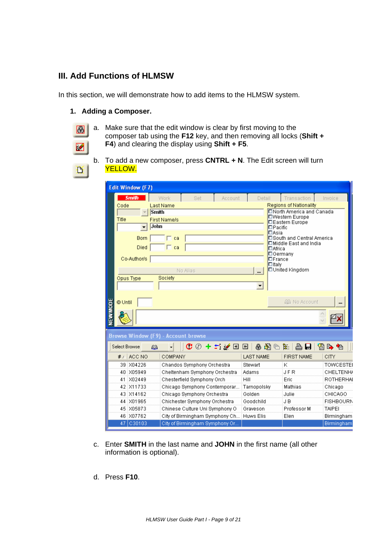# **III. Add Functions of HLMSW**

In this section, we will demonstrate how to add items to the HLMSW system.

#### **1. Adding a Composer.**

- a I  $\vert \mathbf{Z} \vert$
- a. Make sure that the edit window is clear by first moving to the composer tab using the **F12** key, and then removing all locks (**Shift + F4**) and clearing the display using **Shift + F5**.
- 臣
- b. To add a new composer, press **CNTRL + N**. The Edit screen will turn YELLOW.

| <b>Edit Window (F7)</b>                    |                                |                                                                     |                                  |                                                     |                   |
|--------------------------------------------|--------------------------------|---------------------------------------------------------------------|----------------------------------|-----------------------------------------------------|-------------------|
| <b>Smith</b>                               | <b>Work</b><br>Set             | Account                                                             | Detail                           | Transaction                                         | Invoice           |
| Code<br><b>Last Name</b>                   |                                |                                                                     |                                  | Regions of Nationality                              |                   |
| Smith                                      |                                |                                                                     |                                  | □North America and Canada<br><b>□Western Europe</b> |                   |
| Title<br><b>First Name/s</b><br>John       |                                |                                                                     |                                  | 口Eastern Europe                                     |                   |
|                                            |                                |                                                                     | $\square$ Pacific<br>$\Box$ Asia |                                                     |                   |
| <b>Born</b>                                | ∏ ca                           |                                                                     |                                  | □South and Central America                          |                   |
| <b>Died</b>                                | $\Box$ ca                      |                                                                     | □Africa                          | □Middle East and India                              |                   |
|                                            |                                |                                                                     | $\Box$ Germany                   |                                                     |                   |
| Co-Author/s                                |                                |                                                                     | $\square$ France<br>$\Box$ Italv |                                                     |                   |
|                                            | No Alias                       |                                                                     | $\ddotsc$                        | □United Kingdom                                     |                   |
| Opus Type                                  | Society                        |                                                                     |                                  |                                                     |                   |
|                                            |                                |                                                                     |                                  |                                                     |                   |
|                                            |                                |                                                                     |                                  |                                                     |                   |
| © Until                                    |                                |                                                                     |                                  | <b>AB</b> No Account                                |                   |
|                                            |                                |                                                                     |                                  |                                                     |                   |
| NEWMODE                                    |                                |                                                                     |                                  |                                                     |                   |
|                                            |                                |                                                                     |                                  |                                                     |                   |
| <b>Browse Window (F9) - Account browse</b> |                                |                                                                     |                                  |                                                     |                   |
| Select Browse<br>£B.                       |                                | $\mathbb{C} \oslash$ + $\pm$ : $\mathscr{C} \boxdot \boxdot \math>$ | - ゴ 一 隆 鲁                        | ₿ H                                                 | ☎ β ね             |
| $#$ / $ $ ACC NO                           | COMPANY                        |                                                                     | <b>LAST NAME</b>                 | <b>FIRST NAME</b>                                   | <b>CITY</b>       |
| 39 X04226                                  | Chandos Symphony Orchestra     |                                                                     | Stewart                          | Κ                                                   | <b>TOWCESTEI</b>  |
| 40 X05949                                  | Cheltenham Symphony Orchestra  |                                                                     | Adams                            | <b>JFR</b>                                          | <b>CHELTENH/</b>  |
| 41 X02449                                  | Chesterfield Symphony Orch     | Hill                                                                |                                  | Eric                                                | <b>ROTHERHAL</b>  |
| 42 X11733                                  | Chicago Symphony Contemporar   |                                                                     | Tarnopolsky                      | Mathias                                             | Chicago           |
| 43 X14162                                  | Chicago Symphony Orchestra     |                                                                     | Golden                           | Julie                                               | CHICAGO           |
| 44 X01965                                  | Chichester Symphony Orchestra  |                                                                     | Goodchild                        | J B                                                 | <b>FISHBOURN</b>  |
| 45 X05873                                  | Chinese Culture Uni Symphony O |                                                                     | Graveson                         | Professor M                                         | <b>TAIPEI</b>     |
| 46 X07762                                  | City of Birmingham Symphony Ch |                                                                     | Huws Elis                        | Elen                                                | <b>Birmingham</b> |
| 47 C30103                                  | City of Birmingham Symphony Or |                                                                     |                                  |                                                     | <b>Birmingham</b> |

- c. Enter **SMITH** in the last name and **JOHN** in the first name (all other information is optional).
- d. Press **F10**.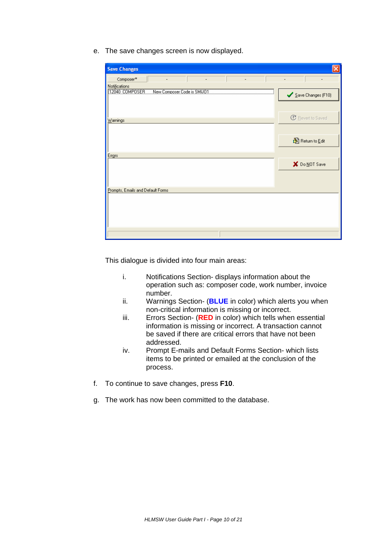e. The save changes screen is now displayed.

| <b>Save Changes</b>                          |                          |
|----------------------------------------------|--------------------------|
| Composer*                                    |                          |
| Notifications                                |                          |
| New Composer Code is SMU01<br>12040 COMPOSER | Save Changes (F10)       |
|                                              |                          |
| $\underline{W}$ arnings                      | <b>C</b> Revert to Saved |
|                                              |                          |
|                                              | 图 Return to Edit         |
|                                              |                          |
| Errors                                       |                          |
|                                              | X Do NOT Save            |
|                                              |                          |
|                                              |                          |
| Prompts, Emails and Default Forms            |                          |
|                                              |                          |
|                                              |                          |
|                                              |                          |
|                                              |                          |
|                                              |                          |

This dialogue is divided into four main areas:

- i. Notifications Section- displays information about the operation such as: composer code, work number, invoice number.
- ii. Warnings Section- (**BLUE** in color) which alerts you when non-critical information is missing or incorrect.
- iii. Errors Section- (**RED** in color) which tells when essential information is missing or incorrect. A transaction cannot be saved if there are critical errors that have not been addressed.
- iv. Prompt E-mails and Default Forms Section- which lists items to be printed or emailed at the conclusion of the process.
- f. To continue to save changes, press **F10**.
- g. The work has now been committed to the database.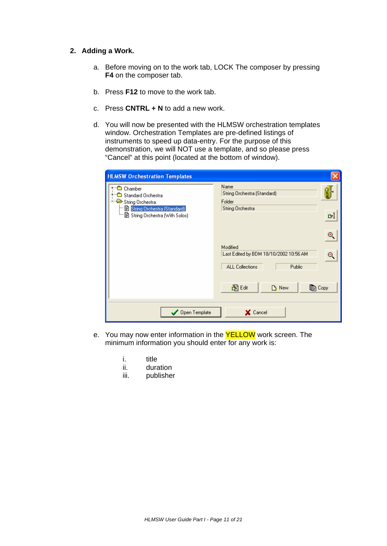# **2. Adding a Work.**

- a. Before moving on to the work tab, LOCK The composer by pressing **F4** on the composer tab.
- b. Press **F12** to move to the work tab.
- c. Press **CNTRL + N** to add a new work.
- d. You will now be presented with the HLMSW orchestration templates window. Orchestration Templates are pre-defined listings of instruments to speed up data-entry. For the purpose of this demonstration, we will NOT use a template, and so please press "Cancel" at this point (located at the bottom of window).

| Name<br>String Orchestra (Standard)<br>Folder |                                                                                     |
|-----------------------------------------------|-------------------------------------------------------------------------------------|
| String Orchestra                              | $\mathbb{G}^{\mathbb{N}}$                                                           |
|                                               | Œ,                                                                                  |
| Last Edited by BDM 18/10/2002 10:56 AM        |                                                                                     |
|                                               |                                                                                     |
|                                               |                                                                                     |
|                                               | Modified<br><b>ALL Collections</b><br>Public<br>胸咽<br>$B$ New<br>ि Copy<br>X Cancel |

- e. You may now enter information in the **YELLOW** work screen. The minimum information you should enter for any work is:
	- i. title
	- ii. duration
	- iii. publisher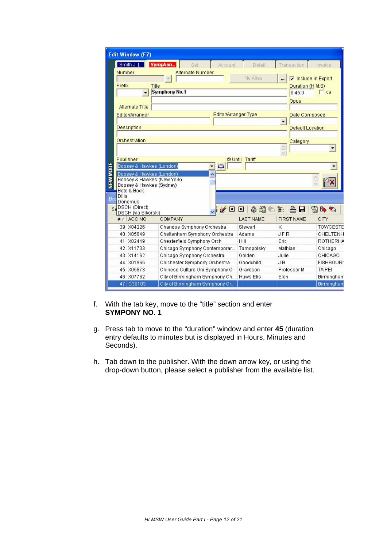|                | <b>Edit Window (F7)</b>                                                                                                                                                                                                          |                                |                        |                         |                   |  |  |  |
|----------------|----------------------------------------------------------------------------------------------------------------------------------------------------------------------------------------------------------------------------------|--------------------------------|------------------------|-------------------------|-------------------|--|--|--|
|                | Smith J. []                                                                                                                                                                                                                      | Symphon<br>Account<br>Set      | Detail                 | Transaction             | Invoice           |  |  |  |
|                | Number                                                                                                                                                                                                                           | <b>Alternate Number</b>        |                        |                         |                   |  |  |  |
|                |                                                                                                                                                                                                                                  |                                | No Alias               | Include in Export       |                   |  |  |  |
|                | Prefix                                                                                                                                                                                                                           | <b>Title</b>                   |                        | Duration (H:M:S)        |                   |  |  |  |
|                | $\overline{\phantom{a}}$                                                                                                                                                                                                         | <b>Symphony No.1</b>           |                        | 0:45:0                  | $\Box$ ca         |  |  |  |
|                |                                                                                                                                                                                                                                  | Opus                           |                        |                         |                   |  |  |  |
|                | <b>Alternate Title</b>                                                                                                                                                                                                           |                                |                        |                         |                   |  |  |  |
|                | Editor/Arranger                                                                                                                                                                                                                  |                                | Editor/Arranger Type   | Date Composed           |                   |  |  |  |
|                |                                                                                                                                                                                                                                  |                                |                        |                         |                   |  |  |  |
|                | <b>Description</b>                                                                                                                                                                                                               |                                |                        | <b>Default Location</b> |                   |  |  |  |
|                |                                                                                                                                                                                                                                  |                                |                        |                         |                   |  |  |  |
|                | Orchestration                                                                                                                                                                                                                    |                                |                        | Category                |                   |  |  |  |
|                |                                                                                                                                                                                                                                  |                                |                        |                         |                   |  |  |  |
|                | <b>OUntil Tariff</b><br>Publisher                                                                                                                                                                                                |                                |                        |                         |                   |  |  |  |
|                | Boosey & Hawkes (London)                                                                                                                                                                                                         | $\omega$                       |                        |                         |                   |  |  |  |
|                | Boosey & Hawkes (London)                                                                                                                                                                                                         |                                |                        |                         |                   |  |  |  |
| <b>NEWMODE</b> | Boosey & Hawkes (New York)                                                                                                                                                                                                       |                                |                        |                         |                   |  |  |  |
|                | Boosey & Hawkes (Sydney)<br><b>Bote &amp; Bock</b>                                                                                                                                                                               |                                |                        |                         |                   |  |  |  |
|                | Dilia                                                                                                                                                                                                                            |                                |                        |                         |                   |  |  |  |
| Br             | Donemus                                                                                                                                                                                                                          |                                |                        |                         |                   |  |  |  |
| Sa             | DSCH (Direct)                                                                                                                                                                                                                    | $\mathscr{C} =$                | おめばも<br>$\blacksquare$ | 合日                      | 窗上包               |  |  |  |
|                | DSCH (via Sikorski)<br>ACC NO<br>#/                                                                                                                                                                                              | COMPANY                        | <b>LAST NAME</b>       | <b>FIRST NAME</b>       | CITY              |  |  |  |
|                | 39 X04226                                                                                                                                                                                                                        | Chandos Symphony Orchestra     | Stewart                | K                       | <b>TOWCESTE</b>   |  |  |  |
|                | 40 X05949                                                                                                                                                                                                                        | Cheltenham Symphony Orchestra  | Adams                  | <b>JFR</b>              | CHELTENH          |  |  |  |
|                | 41 X02449                                                                                                                                                                                                                        | Chesterfield Symphony Orch     | Hill                   | Eric                    | <b>ROTHERHA</b>   |  |  |  |
|                | 42 X11733<br>Chicago Symphony Contemporar<br>43 X14162<br>Chicago Symphony Orchestra<br>44 X01965<br>Chichester Symphony Orchestra<br>45 X05873<br>Chinese Culture Uni Symphony O<br>46 X07762<br>City of Birmingham Symphony Ch |                                | Tarnopolsky            | Mathias                 | Chicago           |  |  |  |
|                |                                                                                                                                                                                                                                  |                                | Golden                 | Julie                   | CHICAGO           |  |  |  |
|                |                                                                                                                                                                                                                                  |                                | Goodchild              | J B                     | <b>FISHBOURI</b>  |  |  |  |
|                |                                                                                                                                                                                                                                  |                                | Graveson               | Professor M             | <b>TAIPEI</b>     |  |  |  |
|                |                                                                                                                                                                                                                                  |                                | <b>Huws Elis</b>       | Elen                    | <b>Birmingham</b> |  |  |  |
|                | 47 C30103                                                                                                                                                                                                                        | City of Birmingham Symphony Or |                        |                         | <b>Birmingham</b> |  |  |  |

- f. With the tab key, move to the "title" section and enter **SYMPONY NO. 1**
- g. Press tab to move to the "duration" window and enter **45** (duration entry defaults to minutes but is displayed in Hours, Minutes and Seconds).
- h. Tab down to the publisher. With the down arrow key, or using the drop-down button, please select a publisher from the available list.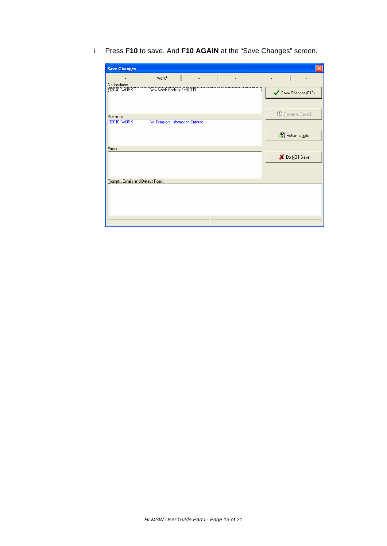i. Press **F10** to save. And **F10 AGAIN** at the "Save Changes" screen.

| <b>Save Changes</b>                                       |                          |
|-----------------------------------------------------------|--------------------------|
| Work*                                                     |                          |
| Notifications<br>New Work Code is SMIJ011                 |                          |
| 12040 WORK                                                | Save Changes (F10)       |
|                                                           |                          |
|                                                           | <b>C</b> Revert to Saved |
| Warnings<br>12010 WORK<br>No Template Information Entered |                          |
|                                                           |                          |
|                                                           | 图 Return to Edit         |
|                                                           |                          |
| Errors                                                    |                          |
|                                                           | X Do NOT Save            |
|                                                           |                          |
|                                                           |                          |
| Prompts, Emails and Default Forms                         |                          |
|                                                           |                          |
|                                                           |                          |
|                                                           |                          |
|                                                           |                          |
|                                                           |                          |
|                                                           |                          |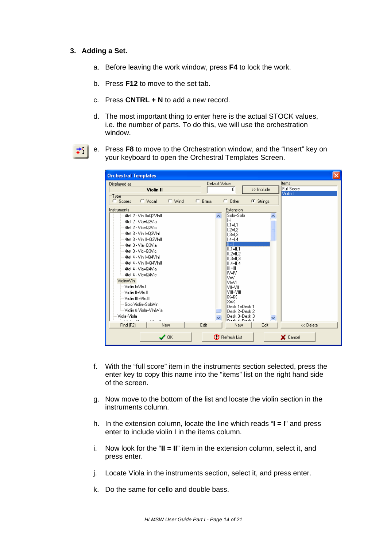#### **3. Adding a Set.**

- a. Before leaving the work window, press **F4** to lock the work.
- b. Press **F12** to move to the set tab.
- c. Press **CNTRL + N** to add a new record.
- d. The most important thing to enter here is the actual STOCK values, i.e. the number of parts. To do this, we will use the orchestration window.
- オー
- e. Press **F8** to move to the Orchestration window, and the "Insert" key on your keyboard to open the Orchestral Templates Screen.

| <b>Orchestral Templates</b>                     |                                 |                          | ×         |
|-------------------------------------------------|---------------------------------|--------------------------|-----------|
| Displayed as                                    | Default Value                   | Items                    |           |
| <b>Violin II</b>                                | 0                               | Full Score<br>>> Include |           |
| Type                                            |                                 | Violin I                 |           |
| $\subset$ Wind<br>$\subset$ Vocal<br>C Scores   | <b>Brass</b><br>$C$ Other<br>с. | G Strings                |           |
| Instruments                                     | Extension                       |                          |           |
| 4tet 2 - Vin II=02Vinii                         | Solo=Solo<br>$\blacktriangle$   |                          |           |
| 4tet 2 - Vla=Q2Vla                              | $=$<br>$1.1 = 1.1$              |                          |           |
| -- 4tet 2 - Vlc=02Vlc                           | $1,2=1,2$                       |                          |           |
| - 4tet 3 - Vin I=03Vini                         | $1.3 - 1.3$                     |                          |           |
| 4tet 3 - Vin II=03Vinii                         | $1.4 = 1.4$                     |                          |           |
| - 4tet 3 - Vla=03Vla                            | M=11                            |                          |           |
| -- 4tet 3 - Vlc=03Vlc                           | $ 11.1 =  1.1$<br>$II.2=II.2$   |                          |           |
| 4tet 4 - Vin I=04Vini                           | $II.3=II.3$                     |                          |           |
| -- 4tet 4 - Vin II=Q4ViniI                      | $  .4=  .4$                     |                          |           |
| -- 4tet 4 - Vla=Q4Vla                           | $III = III$                     |                          |           |
| — 4tet 4 - Vlc=04Vlc                            | IV=IV                           |                          |           |
| Violin=Vln.                                     | V=V<br>VI=VI                    |                          |           |
| — Violin I=VIn.I                                | VII=VII                         |                          |           |
| — Violin II=VIn.II                              | VIII=VIII                       |                          |           |
| -- Violin III=VIn.III                           | IX=IX                           |                          |           |
| — Solo Violin=SoloVIn                           | l×=×                            |                          |           |
| ≔ Violin & Viola=Vln&Vla                        | Desk 1=Desk 1<br>Desk 2=Desk 2  |                          |           |
| Viola=Viola                                     | Desk 3=Desk 3                   | $\checkmark$             |           |
| contractors<br>$\blacksquare$<br>$\blacksquare$ | Doob A-Doob A                   |                          |           |
| New<br>Find (F2)                                | Edit<br>New                     | Edit                     | << Delete |
| $\sqrt{a}$                                      | <b>C</b> Refresh List           | X Cancel                 |           |

- f. With the "full score" item in the instruments section selected, press the enter key to copy this name into the "items" list on the right hand side of the screen.
- g. Now move to the bottom of the list and locate the violin section in the instruments column.
- h. In the extension column, locate the line which reads "**I = I**" and press enter to include violin I in the items column.
- i. Now look for the "**II = II**" item in the extension column, select it, and press enter.
- j. Locate Viola in the instruments section, select it, and press enter.
- k. Do the same for cello and double bass.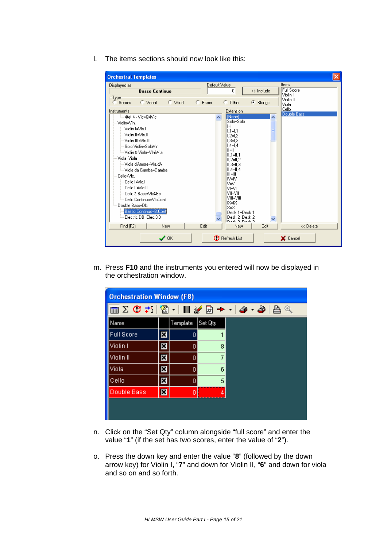l. The items sections should now look like this:

| <b>Orchestral Templates</b>                                          |               |                                          | ×                             |
|----------------------------------------------------------------------|---------------|------------------------------------------|-------------------------------|
| Displayed as                                                         | Default Value |                                          | Items                         |
| <b>Basso Continuo</b>                                                |               | $\mathbf{0}$<br>>> Include               | <b>Full Score</b><br>Violin I |
| 'Type <sup>-</sup><br>$\bigcirc$ Vocal<br>$\subset$ Wind<br>C Scores | C Brass       | $C$ Other<br>G Strings                   | Violin II<br>Viola            |
| Instruments                                                          |               | Extension                                | Cello<br>Double Bass          |
| <sup>i</sup> 4tet 4 - Vic=04Vic                                      | ۸             | [None]<br>$\overline{\phantom{a}}$       |                               |
| Violin=Vln.                                                          |               | Solo=Solo<br>$=$                         |                               |
| — Violin I=VIn.I                                                     |               | $1.1 = 1.1$                              |                               |
| — Violin II=VIn.II                                                   |               | $1.2 = 1.2$                              |                               |
| -- Violin III=VIn.III                                                |               | $1.3 = 1.3$<br>$1.4 = 1.4$               |                               |
| ≔ Solo Violin=SoloVIn<br>i— Violin & Viola=Vln&Vlai                  |               | $  =  $                                  |                               |
| Viola=Viola                                                          |               | $  .1=  .1$                              |                               |
| — Viola d'Amore=Vla.dA                                               |               | $II.2=II.2$<br>$II.3=II.3$               |                               |
| <sup>i…</sup> Viola da Gamba=Gamba                                   |               | $  .4=  .4$                              |                               |
| Cello=Vlc.                                                           |               | $III = III$                              |                               |
| — Cello I≡Vic I                                                      |               | IV=IV                                    |                               |
| – Cello II=Vic.II                                                    |               | V=V.<br>VI=VI                            |                               |
| — Cello & Bass=Vlc&Bs                                                |               | <b>VII-VII</b>                           |                               |
| illin Cello Continuo=VIcConti                                        |               | VIII-VIII                                |                               |
| Double Bass=Db.                                                      |               | IX=IX<br>X=X                             |                               |
| Basso Continuo=B.Cont                                                |               | Desk 1=Desk 1                            |                               |
| Electric DB=Elec.DB                                                  |               | Desk 2=Desk 2<br>$\overline{\mathbf{v}}$ |                               |
| Find (F2)<br><b>New</b>                                              | Edit          | Doob 2-Doob 2<br>Edit<br>New             | << Delete                     |
| $\mathcal{S}$ ok                                                     |               | <b>C</b> Refresh List                    | X Cancel                      |

m. Press **F10** and the instruments you entered will now be displayed in the orchestration window.

| <b>Orchestration Window (F8)</b>               |   |          |         |  |  |
|------------------------------------------------|---|----------|---------|--|--|
| ▥Σଫ <del>:</del> │▧ ・│     «⁄ ◲ → ・│૭ ・ ૭│!!!! |   |          |         |  |  |
| Name                                           |   | Template | Set Qty |  |  |
| <b>Full Score</b>                              |   | 0        |         |  |  |
| Violin I                                       | × | 0        | 8       |  |  |
| Violin II                                      | × | 0        | 7       |  |  |
| Viola                                          | × | 0        | หิ      |  |  |
| Cello                                          | x | 0        | 5       |  |  |
| Double Bass                                    | × | 0        |         |  |  |
|                                                |   |          |         |  |  |
|                                                |   |          |         |  |  |

- n. Click on the "Set Qty" column alongside "full score" and enter the value "**1**" (if the set has two scores, enter the value of "**2**").
- o. Press the down key and enter the value "**8**" (followed by the down arrow key) for Violin I, "**7**" and down for Violin II, "**6**" and down for viola and so on and so forth.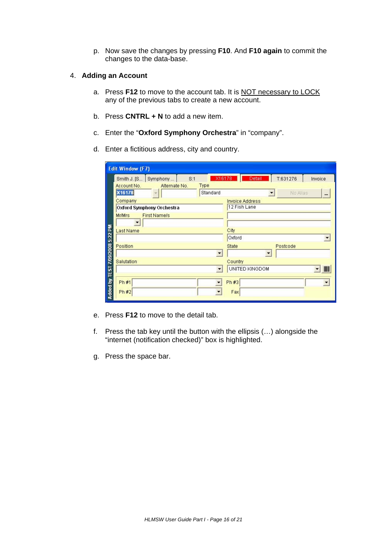p. Now save the changes by pressing **F10**. And **F10 again** to commit the changes to the data-base.

# 4. **Adding an Account**

- a. Press **F12** to move to the account tab. It is NOT necessary to LOCK any of the previous tabs to create a new account.
- b. Press **CNTRL + N** to add a new item.
- c. Enter the "**Oxford Symphony Orchestra**" in "company".
- d. Enter a fictitious address, city and country.

|                                  | <b>Edit Window (F7)</b>              |                                                  |
|----------------------------------|--------------------------------------|--------------------------------------------------|
|                                  | Smith J. [S Symphony<br>S:1          | T:631276<br>X16178<br>Detail<br>Invoice          |
|                                  | Account No.<br>Type<br>Alternate No. |                                                  |
|                                  | X16178<br>Standard                   | No Alias<br>$\overline{\phantom{a}}$<br>$\cdots$ |
|                                  | Company                              | <b>Invoice Address</b>                           |
|                                  | Oxford Symphony Orchestra            | 12 Fish Lane                                     |
|                                  | <b>First Name/s</b><br><b>Mr/Mrs</b> |                                                  |
|                                  | $\blacktriangledown$                 |                                                  |
|                                  | Last Name                            | City                                             |
| A dded by TEST 7/09/2008 5:22 PM |                                      | Oxford                                           |
|                                  | Position                             | <b>State</b><br>Postcode                         |
|                                  |                                      | $\overline{\phantom{a}}$                         |
|                                  | Salutation                           | Country                                          |
|                                  |                                      | UNITED KINGDOM<br>IIIII                          |
|                                  |                                      |                                                  |
|                                  | Ph #1                                | Ph#3                                             |
|                                  | Ph#2                                 | Fax                                              |
|                                  |                                      |                                                  |

- e. Press **F12** to move to the detail tab.
- f. Press the tab key until the button with the ellipsis (…) alongside the "internet (notification checked)" box is highlighted.
- g. Press the space bar.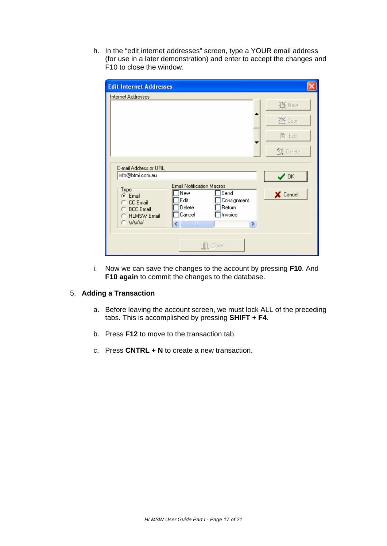h. In the "edit internet addresses" screen, type a YOUR email address (for use in a later demonstration) and enter to accept the changes and F10 to close the window.

| <b>Edit Internet Addresses</b>                                                                                                                                                                                                               |                 |
|----------------------------------------------------------------------------------------------------------------------------------------------------------------------------------------------------------------------------------------------|-----------------|
| Internet Addresses                                                                                                                                                                                                                           |                 |
|                                                                                                                                                                                                                                              | 这 New           |
|                                                                                                                                                                                                                                              | 宴 Copy          |
|                                                                                                                                                                                                                                              | 費 Edit          |
|                                                                                                                                                                                                                                              | <b>Q</b> Delete |
| E-mail Address or URL<br>info@btmi.com.au                                                                                                                                                                                                    | $\vee$ ok       |
| <b>Email Notification Macros</b><br>$Type^-$<br>New<br>Send<br>C Email<br>Edit<br>Consignment<br><b>CC</b> Email<br>Delete<br>Return<br><b>BCC</b> Email<br>Cancel<br>Invoice<br><b>HLMSW Email</b><br>o<br>C WWW<br>∢<br>Ш<br>$\rightarrow$ | X Cancel        |
| Close                                                                                                                                                                                                                                        |                 |

i. Now we can save the changes to the account by pressing **F10**. And **F10 again** to commit the changes to the database.

# 5. **Adding a Transaction**

- a. Before leaving the account screen, we must lock ALL of the preceding tabs. This is accomplished by pressing **SHIFT + F4**.
- b. Press **F12** to move to the transaction tab.
- c. Press **CNTRL + N** to create a new transaction.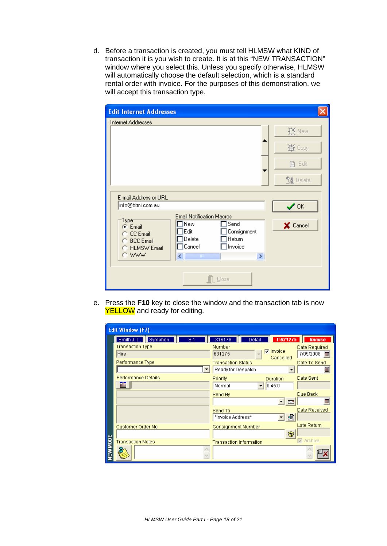d. Before a transaction is created, you must tell HLMSW what KIND of transaction it is you wish to create. It is at this "NEW TRANSACTION" window where you select this. Unless you specify otherwise, HLMSW will automatically choose the default selection, which is a standard rental order with invoice. For the purposes of this demonstration, we will accept this transaction type.

| <b>Edit Internet Addresses</b>                                                                                                                           |                 |
|----------------------------------------------------------------------------------------------------------------------------------------------------------|-----------------|
| Internet Addresses                                                                                                                                       |                 |
|                                                                                                                                                          | $H$ New         |
|                                                                                                                                                          | 真 Coby          |
|                                                                                                                                                          | 昏 Edit          |
|                                                                                                                                                          | <b>V</b> Delete |
| E-mail Address or URL<br>info@btmi.com.au                                                                                                                | $\checkmark$ ok |
| <b>Email Notification Macros</b><br>$Type^-$<br>New<br>Send<br>C Email<br>Edit<br>Consignment<br><b>CC</b> Email<br>Delete<br>Return<br><b>BCC Email</b> | X Cancel        |
| Invoice<br>Cancel<br><b>HLMSW Email</b><br>C WWW<br>€<br><b>IIII</b><br>×,                                                                               |                 |
| Close                                                                                                                                                    |                 |

e. Press the **F10** key to close the window and the transaction tab is now YELLOW and ready for editing.

|                 | <b>Edit Window (F7)</b>                                         |                                                                                   |                                              |
|-----------------|-----------------------------------------------------------------|-----------------------------------------------------------------------------------|----------------------------------------------|
|                 | Smith J. [<br>Symphon<br>8:1<br><b>Transaction Type</b><br>Hire | T:631275<br>X16178<br>Detail<br>Number<br>$\nabla$ Invoice<br>631275<br>Cancelled | <b>Invoice</b><br>Date Required<br>7/09/2008 |
|                 | Performance Type                                                | <b>Transaction Status</b><br>Ready for Despatch                                   | Date To Send<br>83                           |
|                 | <b>Performance Details</b><br>æ                                 | Priority<br><b>Duration</b><br>0:45:0<br>Normal                                   | Date Sent                                    |
|                 |                                                                 | Send By<br>E                                                                      | Due Back<br>m                                |
|                 |                                                                 | Send To<br>€<br>*Invoice Address*                                                 | Date Received                                |
|                 | Customer Order No                                               | <b>Consignment Number</b><br>₩                                                    | Late Return                                  |
|                 | <b>Transaction Notes</b>                                        | <b>Transaction Information</b>                                                    | <b>▽</b> Archive                             |
| <b>NEW MODE</b> |                                                                 |                                                                                   |                                              |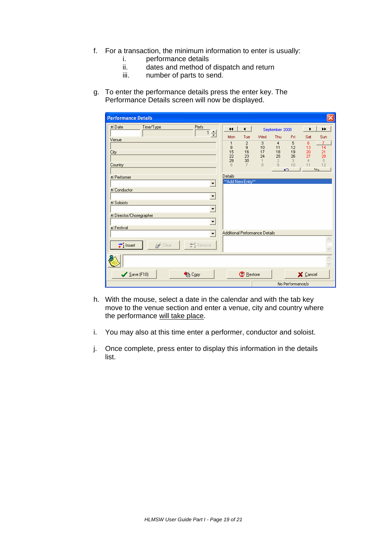- f. For a transaction, the minimum information to enter is usually:
	- i. performance details<br>ii. dates and method of
	- ii. dates and method of dispatch and return<br>iii. number of parts to send.
	- number of parts to send.
- g. To enter the performance details press the enter key. The Performance Details screen will now be displayed.

| <b>Performance Details</b>                          |                                        |                     |                                             | $\times$                                                  |
|-----------------------------------------------------|----------------------------------------|---------------------|---------------------------------------------|-----------------------------------------------------------|
| Perfs<br>国 Date<br>Time/Type                        | $\blacktriangleleft$<br>$\blacksquare$ |                     | September 2008                              | ▶▶<br>٠                                                   |
| 그림<br>Venue                                         | Mon<br>Tue                             | Wed                 | Thu<br>Fri                                  | Sat<br>Sun                                                |
|                                                     | $\overline{\mathbf{c}}$<br>1<br>9<br>8 | 3<br>10             | $\overline{4}$<br>5<br>12<br>11             | 6<br>7<br>13<br>14                                        |
| City                                                | 15<br>16<br>22<br>23                   | 17<br>24            | 18<br>19<br>25<br>26                        | $\frac{20}{27}$                                           |
| Country                                             | 29<br>30<br>6<br>7                     | $\mathbf{1}$<br>8   | $\overline{2}$<br>3<br>$\overline{9}$<br>10 | $\frac{21}{28}$<br>$\frac{5}{12}$<br>$\overline{4}$<br>11 |
|                                                     | Details                                |                     | $\mathbf{K}$                                | 4T <sub>2</sub>                                           |
| El Performer<br>$\blacktriangledown$                | ** Add New Entry**                     |                     |                                             |                                                           |
| El Conductor                                        |                                        |                     |                                             |                                                           |
| $\blacktriangledown$                                |                                        |                     |                                             |                                                           |
| El Soloists<br>$\blacktriangledown$                 |                                        |                     |                                             |                                                           |
| El Director/Choregrapher                            |                                        |                     |                                             |                                                           |
| $\blacktriangledown$<br><b>H</b> Festival           |                                        |                     |                                             |                                                           |
| $\overline{\phantom{0}}$                            | Additional Performance Details         |                     |                                             |                                                           |
| $\overrightarrow{+}$ Insert<br>a Clear<br>士[Remove] |                                        |                     |                                             |                                                           |
|                                                     |                                        |                     |                                             |                                                           |
|                                                     |                                        |                     |                                             | $\frac{1}{\sqrt{2}}$                                      |
| $\bigvee$ Save (F10)<br>ha Copy                     |                                        | $\mathbf C$ Restore |                                             | X Cancel                                                  |
|                                                     |                                        |                     | No Performance/s                            |                                                           |

- h. With the mouse, select a date in the calendar and with the tab key move to the venue section and enter a venue, city and country where the performance will take place.
- i. You may also at this time enter a performer, conductor and soloist.
- j. Once complete, press enter to display this information in the details list.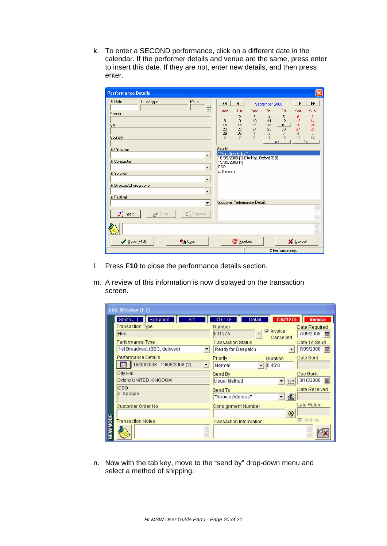k. To enter a SECOND performance, click on a different date in the calendar. If the performer details and venue are the same, press enter to insert this date. If they are not, enter new details, and then press enter.

| <b>Performance Details</b>                                                                                                                                                                                                                                    |                                                                                                                                                                                                                                                                                                                                                                                                                                                                                                                                                                                                                     |
|---------------------------------------------------------------------------------------------------------------------------------------------------------------------------------------------------------------------------------------------------------------|---------------------------------------------------------------------------------------------------------------------------------------------------------------------------------------------------------------------------------------------------------------------------------------------------------------------------------------------------------------------------------------------------------------------------------------------------------------------------------------------------------------------------------------------------------------------------------------------------------------------|
| Perfs<br>国 Date<br>Time/Type<br>그러<br>Venue<br>City<br>Country<br>El Performer<br>$\blacktriangledown$<br>El Conductor<br>$\blacktriangledown$<br>国 Soloists<br>$\blacktriangledown$<br>H Director/Choregrapher<br>$\blacktriangledown$<br><b>El Festival</b> | $\blacktriangleleft$<br>$\leftarrow$<br>₩<br>September 2008<br>٠<br>Thu<br>Sat<br>Sun<br>Mon<br>Tue<br>Wed<br>Fri<br>3<br>5<br>6<br>$\overline{\mathbf{c}}$<br>4<br>7<br>1<br>$\overline{9}$<br>8<br>10<br>12<br>13<br>11<br>14<br>16<br>$\frac{20}{27}$<br>15<br>18<br>$21$<br>$28$<br>$5$<br>$12$<br>17<br>19<br>22<br>23<br>25<br>24<br>26<br>29<br>30<br>$\overline{2}$<br>$\Delta$<br>$\mathbf{1}$<br>3<br>8<br>$\overline{a}$<br>10<br>11<br>6<br>4T <sub>2</sub><br>$\mathbf{K}$<br>Details<br><sup>**</sup> Add New Entry**<br>18/09/2008 (1) City Hall, Oxford [GB]<br>19/09/2008 (1)<br>0SO<br>c. Karajan |
| $\blacktriangledown$                                                                                                                                                                                                                                          | Additional Performance Details                                                                                                                                                                                                                                                                                                                                                                                                                                                                                                                                                                                      |
| $\overrightarrow{+}$ Insert<br>$\pm$ Remove<br>a Clear                                                                                                                                                                                                        | $\langle \ \rangle \   \ \rangle$                                                                                                                                                                                                                                                                                                                                                                                                                                                                                                                                                                                   |
| $\sqrt{\frac{S}{2}}$ ave (F10)<br>ha Copy                                                                                                                                                                                                                     | $\mathbf C$ Restore<br>X Cancel                                                                                                                                                                                                                                                                                                                                                                                                                                                                                                                                                                                     |
|                                                                                                                                                                                                                                                               | 2 Performance/s                                                                                                                                                                                                                                                                                                                                                                                                                                                                                                                                                                                                     |

- l. Press **F10** to close the performance details section.
- m. A review of this information is now displayed on the transaction screen.

|        | <b>Edit Window (F7)</b>                                 |                                                                   |
|--------|---------------------------------------------------------|-------------------------------------------------------------------|
|        | Smith J. [] Symphon]<br>8:1                             | X16178<br>T: 631275<br><b>Invoice</b><br>Detail                   |
|        | <b>Transaction Type</b>                                 | Number<br><b>Date Required</b><br>$\overline{\mathbf{v}}$ Invoice |
|        | Hire                                                    | 631275<br>7/09/2008<br>雛<br>Cancelled                             |
|        | Performance Type                                        | <b>Transaction Status</b><br>Date To Send                         |
|        | 1st Broadcast (BBC, delayed)                            | 7/09/2008<br>Ready for Despatch                                   |
|        | <b>Performance Details</b>                              | Date Sent<br>Priority<br><b>Duration</b>                          |
|        | 18/09/2008 - 19/09/2008 (2)<br>$\overline{\phantom{a}}$ | 0:45:0<br>Normal                                                  |
|        | City Hall                                               | Due Back<br>Send By                                               |
|        | Oxford UNITED KINGDOM                                   | 3/10/2008<br>艇<br>Usual Method<br>$=$                             |
|        | <b>OSO</b>                                              | Date Received<br>Send To                                          |
|        | c. Karajan                                              | €<br>*Invoice Address*                                            |
|        | <b>Customer Order No</b>                                | Late Return<br><b>Consignment Number</b>                          |
|        |                                                         | €                                                                 |
|        | <b>Transaction Notes</b>                                | <b>M</b> Archive<br><b>Transaction Information</b>                |
| EWMODE |                                                         |                                                                   |

n. Now with the tab key, move to the "send by" drop-down menu and select a method of shipping.